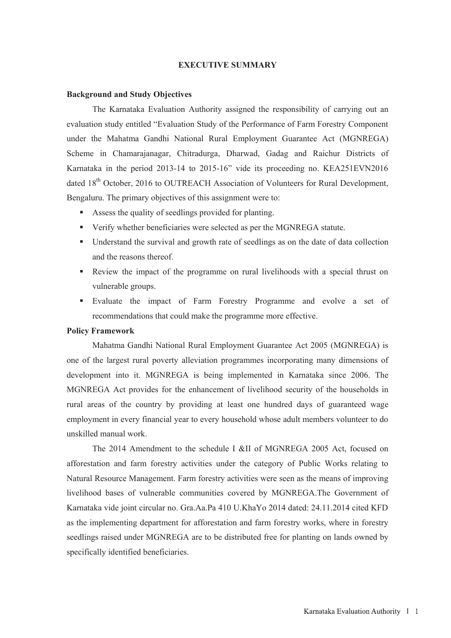### **EXECUTIVE SUMMARY**

### **Background and Study Objectives**

The Karnataka Evaluation Authority assigned the responsibility of carrying out an evaluation study entitled "Evaluation Study of the Performance of Farm Forestry Component under the Mahatma Gandhi National Rural Employment Guarantee Act (MGNREGA) Scheme in Chamarajanagar, Chitradurga, Dharwad, Gadag and Raichur Districts of Karnataka in the period 2013-14 to 2015-16" vide its proceeding no. KEA251EVN2016 dated 18<sup>th</sup> October, 2016 to OUTREACH Association of Volunteers for Rural Development, Bengaluru. The primary objectives of this assignment were to:

- Assess the quality of seedlings provided for planting.
- Verify whether beneficiaries were selected as per the MGNREGA statute.
- Understand the survival and growth rate of seedlings as on the date of data collection and the reasons thereof.
- Review the impact of the programme on rural livelihoods with a special thrust on vulnerable groups.
- Evaluate the impact of Farm Forestry Programme and evolve a set of recommendations that could make the programme more effective.

# **Policy Framework**

Mahatma Gandhi National Rural Employment Guarantee Act 2005 (MGNREGA) is one of the largest rural poverty alleviation programmes incorporating many dimensions of development into it. MGNREGA is being implemented in Karnataka since 2006. The MGNREGA Act provides for the enhancement of livelihood security of the households in rural areas of the country by providing at least one hundred days of guaranteed wage employment in every financial year to every household whose adult members volunteer to do unskilled manual work.

 The 2014 Amendment to the schedule I &II of MGNREGA 2005 Act, focused on afforestation and farm forestry activities under the category of Public Works relating to Natural Resource Management. Farm forestry activities were seen as the means of improving livelihood bases of vulnerable communities covered by MGNREGA.The Government of Karnataka vide joint circular no. Gra.Aa.Pa 410 U.KhaYo 2014 dated: 24.11.2014 cited KFD as the implementing department for afforestation and farm forestry works, where in forestry seedlings raised under MGNREGA are to be distributed free for planting on lands owned by specifically identified beneficiaries.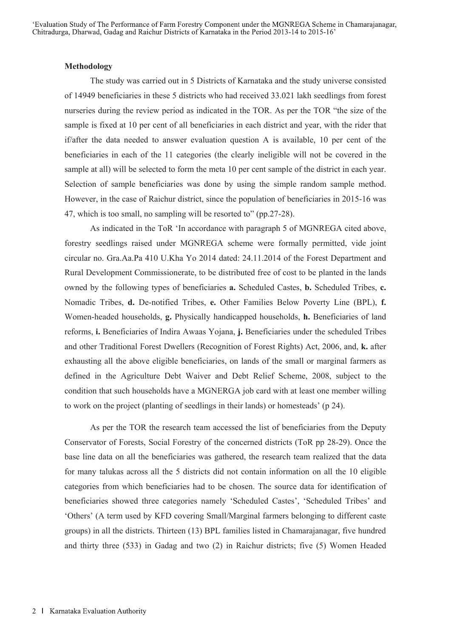#### **Methodology**

The study was carried out in 5 Districts of Karnataka and the study universe consisted of 14949 beneficiaries in these 5 districts who had received 33.021 lakh seedlings from forest nurseries during the review period as indicated in the TOR. As per the TOR "the size of the sample is fixed at 10 per cent of all beneficiaries in each district and year, with the rider that if/after the data needed to answer evaluation question A is available, 10 per cent of the beneficiaries in each of the 11 categories (the clearly ineligible will not be covered in the sample at all) will be selected to form the meta 10 per cent sample of the district in each year. Selection of sample beneficiaries was done by using the simple random sample method. However, in the case of Raichur district, since the population of beneficiaries in 2015-16 was 47, which is too small, no sampling will be resorted to" (pp.27-28).

As indicated in the ToR 'In accordance with paragraph 5 of MGNREGA cited above, forestry seedlings raised under MGNREGA scheme were formally permitted, vide joint circular no. Gra.Aa.Pa 410 U.Kha Yo 2014 dated: 24.11.2014 of the Forest Department and Rural Development Commissionerate, to be distributed free of cost to be planted in the lands owned by the following types of beneficiaries **a.** Scheduled Castes, **b.** Scheduled Tribes, **c.** Nomadic Tribes, **d.** De-notified Tribes, **e.** Other Families Below Poverty Line (BPL), **f.** Women-headed households, **g.** Physically handicapped households, **h.** Beneficiaries of land reforms, **i.** Beneficiaries of Indira Awaas Yojana, **j.** Beneficiaries under the scheduled Tribes and other Traditional Forest Dwellers (Recognition of Forest Rights) Act, 2006, and, **k.** after exhausting all the above eligible beneficiaries, on lands of the small or marginal farmers as defined in the Agriculture Debt Waiver and Debt Relief Scheme, 2008, subject to the condition that such households have a MGNERGA job card with at least one member willing to work on the project (planting of seedlings in their lands) or homesteads' (p 24).

As per the TOR the research team accessed the list of beneficiaries from the Deputy Conservator of Forests, Social Forestry of the concerned districts (ToR pp 28-29). Once the base line data on all the beneficiaries was gathered, the research team realized that the data for many talukas across all the 5 districts did not contain information on all the 10 eligible categories from which beneficiaries had to be chosen. The source data for identification of beneficiaries showed three categories namely 'Scheduled Castes', 'Scheduled Tribes' and 'Others' (A term used by KFD covering Small/Marginal farmers belonging to different caste groups) in all the districts. Thirteen (13) BPL families listed in Chamarajanagar, five hundred and thirty three (533) in Gadag and two (2) in Raichur districts; five (5) Women Headed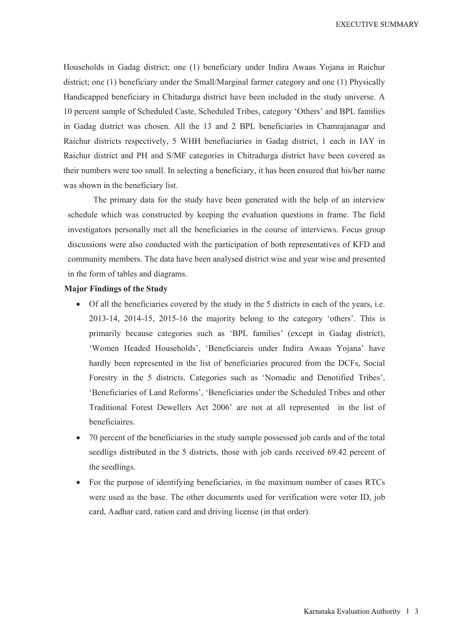**EXECUTIVE SUMMARY** 

Households in Gadag district; one (1) beneficiary under Indira Awaas Yojana in Raichur district; one (1) beneficiary under the Small/Marginal farmer category and one (1) Physically Handicapped beneficiary in Chitadurga district have been included in the study universe. A 10 percent sample of Scheduled Caste, Scheduled Tribes, category 'Others' and BPL families in Gadag district was chosen. All the 13 and 2 BPL beneficiaries in Chamrajanagar and Raichur districts respectively, 5 WHH benefiaciaries in Gadag district, 1 each in IAY in Raichur district and PH and S/MF categories in Chitradurga district have been covered as their numbers were too small. In selecting a beneficiary, it has been ensured that his/her name was shown in the beneficiary list.

The primary data for the study have been generated with the help of an interview schedule which was constructed by keeping the evaluation questions in frame. The field investigators personally met all the beneficiaries in the course of interviews. Focus group discussions were also conducted with the participation of both representatives of KFD and community members. The data have been analysed district wise and year wise and presented in the form of tables and diagrams.

### **Major Findings of the Study**

- Of all the beneficiaries covered by the study in the 5 districts in each of the years, i.e. 2013-14, 2014-15, 2015-16 the majority belong to the category 'others'. This is primarily because categories such as 'BPL families' (except in Gadag district), 'Women Headed Households', 'Beneficiareis under Indira Awaas Yojana' have hardly been represented in the list of beneficiaries procured from the DCFs, Social Forestry in the 5 districts. Categories such as 'Nomadic and Denotified Tribes', 'Beneficiaries of Land Reforms', 'Beneficiaries under the Scheduled Tribes and other Traditional Forest Dewellers Act 2006' are not at all represented in the list of beneficiaires.
- 70 percent of the beneficiaries in the study sample possessed job cards and of the total seedligs distributed in the 5 districts, those with job cards received 69.42 percent of the seedlings.
- For the purpose of identifying beneficiaries, in the maximum number of cases RTCs were used as the base. The other documents used for verification were voter ID, job card, Aadhar card, ration card and driving license (in that order).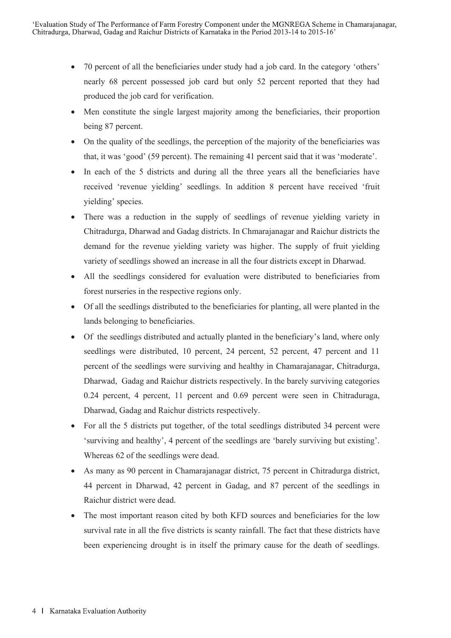- 70 percent of all the beneficiaries under study had a job card. In the category 'others' nearly 68 percent possessed job card but only 52 percent reported that they had produced the job card for verification.
- Men constitute the single largest majority among the beneficiaries, their proportion being 87 percent.
- On the quality of the seedlings, the perception of the majority of the beneficiaries was that, it was 'good' (59 percent). The remaining 41 percent said that it was 'moderate'.
- In each of the 5 districts and during all the three years all the beneficiaries have received 'revenue yielding' seedlings. In addition 8 percent have received 'fruit yielding' species.
- There was a reduction in the supply of seedlings of revenue yielding variety in Chitradurga, Dharwad and Gadag districts. In Chmarajanagar and Raichur districts the demand for the revenue yielding variety was higher. The supply of fruit yielding variety of seedlings showed an increase in all the four districts except in Dharwad.
- All the seedlings considered for evaluation were distributed to beneficiaries from forest nurseries in the respective regions only.
- Of all the seedlings distributed to the beneficiaries for planting, all were planted in the lands belonging to beneficiaries.
- Of the seedlings distributed and actually planted in the beneficiary's land, where only seedlings were distributed, 10 percent, 24 percent, 52 percent, 47 percent and 11 percent of the seedlings were surviving and healthy in Chamarajanagar, Chitradurga, Dharwad, Gadag and Raichur districts respectively. In the barely surviving categories 0.24 percent, 4 percent, 11 percent and 0.69 percent were seen in Chitraduraga, Dharwad, Gadag and Raichur districts respectively.
- For all the 5 districts put together, of the total seedlings distributed 34 percent were 'surviving and healthy', 4 percent of the seedlings are 'barely surviving but existing'. Whereas 62 of the seedlings were dead.
- As many as 90 percent in Chamarajanagar district, 75 percent in Chitradurga district, 44 percent in Dharwad, 42 percent in Gadag, and 87 percent of the seedlings in Raichur district were dead.
- The most important reason cited by both KFD sources and beneficiaries for the low survival rate in all the five districts is scanty rainfall. The fact that these districts have been experiencing drought is in itself the primary cause for the death of seedlings.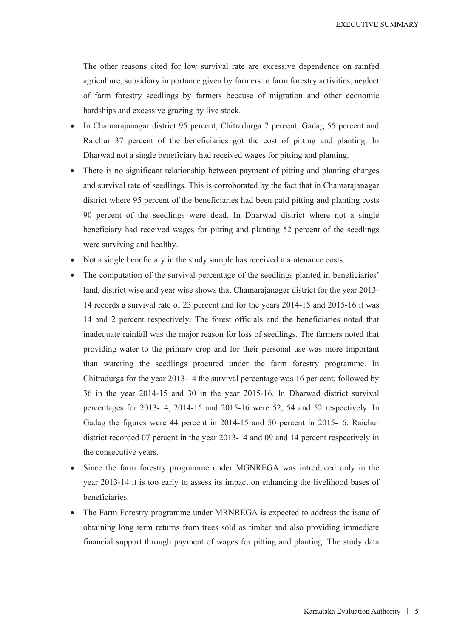**EXECUTIVE SUMMARY** 

The other reasons cited for low survival rate are excessive dependence on rainfed agriculture, subsidiary importance given by farmers to farm forestry activities, neglect of farm forestry seedlings by farmers because of migration and other economic hardships and excessive grazing by live stock.

- In Chamarajanagar district 95 percent, Chitradurga 7 percent, Gadag 55 percent and Raichur 37 percent of the beneficiaries got the cost of pitting and planting. In Dharwad not a single beneficiary had received wages for pitting and planting.
- There is no significant relationship between payment of pitting and planting charges and survival rate of seedlings. This is corroborated by the fact that in Chamarajanagar district where 95 percent of the beneficiaries had been paid pitting and planting costs 90 percent of the seedlings were dead. In Dharwad district where not a single beneficiary had received wages for pitting and planting 52 percent of the seedlings were surviving and healthy.
- Not a single beneficiary in the study sample has received maintenance costs.
- The computation of the survival percentage of the seedlings planted in beneficiaries' land, district wise and year wise shows that Chamarajanagar district for the year 2013- 14 records a survival rate of 23 percent and for the years 2014-15 and 2015-16 it was 14 and 2 percent respectively. The forest officials and the beneficiaries noted that inadequate rainfall was the major reason for loss of seedlings. The farmers noted that providing water to the primary crop and for their personal use was more important than watering the seedlings procured under the farm forestry programme. In Chitradurga for the year 2013-14 the survival percentage was 16 per cent, followed by 36 in the year 2014-15 and 30 in the year 2015-16. In Dharwad district survival percentages for 2013-14, 2014-15 and 2015-16 were 52, 54 and 52 respectively. In Gadag the figures were 44 percent in 2014-15 and 50 percent in 2015-16. Raichur district recorded 07 percent in the year 2013-14 and 09 and 14 percent respectively in the consecutive years.
- Since the farm forestry programme under MGNREGA was introduced only in the year 2013-14 it is too early to assess its impact on enhancing the livelihood bases of beneficiaries.
- The Farm Forestry programme under MRNREGA is expected to address the issue of obtaining long term returns from trees sold as timber and also providing immediate financial support through payment of wages for pitting and planting. The study data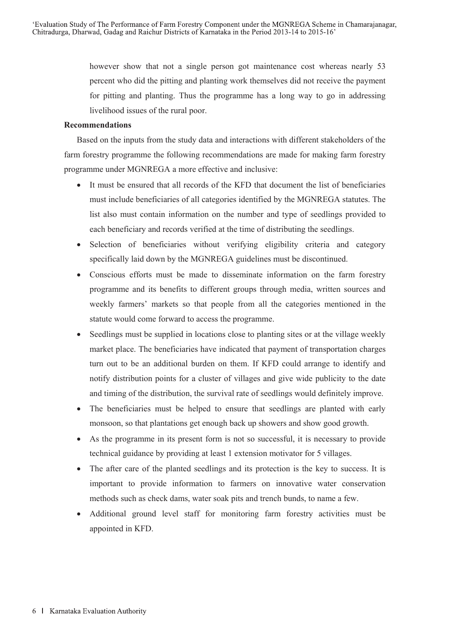however show that not a single person got maintenance cost whereas nearly 53 percent who did the pitting and planting work themselves did not receive the payment for pitting and planting. Thus the programme has a long way to go in addressing livelihood issues of the rural poor.

## **Recommendations**

Based on the inputs from the study data and interactions with different stakeholders of the farm forestry programme the following recommendations are made for making farm forestry programme under MGNREGA a more effective and inclusive:

- It must be ensured that all records of the KFD that document the list of beneficiaries must include beneficiaries of all categories identified by the MGNREGA statutes. The list also must contain information on the number and type of seedlings provided to each beneficiary and records verified at the time of distributing the seedlings.
- Selection of beneficiaries without verifying eligibility criteria and category specifically laid down by the MGNREGA guidelines must be discontinued.
- Conscious efforts must be made to disseminate information on the farm forestry programme and its benefits to different groups through media, written sources and weekly farmers' markets so that people from all the categories mentioned in the statute would come forward to access the programme.
- Seedlings must be supplied in locations close to planting sites or at the village weekly market place. The beneficiaries have indicated that payment of transportation charges turn out to be an additional burden on them. If KFD could arrange to identify and notify distribution points for a cluster of villages and give wide publicity to the date and timing of the distribution, the survival rate of seedlings would definitely improve.
- The beneficiaries must be helped to ensure that seedlings are planted with early monsoon, so that plantations get enough back up showers and show good growth.
- As the programme in its present form is not so successful, it is necessary to provide technical guidance by providing at least 1 extension motivator for 5 villages.
- The after care of the planted seedlings and its protection is the key to success. It is important to provide information to farmers on innovative water conservation methods such as check dams, water soak pits and trench bunds, to name a few.
- Additional ground level staff for monitoring farm forestry activities must be appointed in KFD.